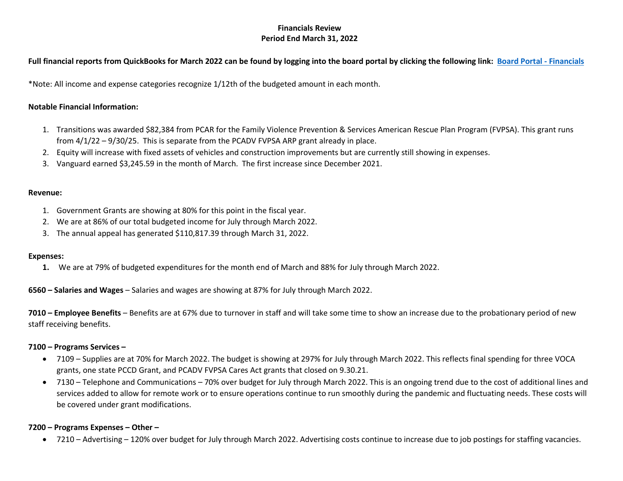# **Financials Review Period End March 31, 2022**

# **Full financial reports from QuickBooks for March 2022 can be found by logging into the board portal by clicking the following link: [Board Portal - Financials](https://www.transitionsofpa.org/board-financial-information)**

\*Note: All income and expense categories recognize 1/12th of the budgeted amount in each month.

### **Notable Financial Information:**

- 1. Transitions was awarded \$82,384 from PCAR for the Family Violence Prevention & Services American Rescue Plan Program (FVPSA). This grant runs from 4/1/22 – 9/30/25. This is separate from the PCADV FVPSA ARP grant already in place.
- 2. Equity will increase with fixed assets of vehicles and construction improvements but are currently still showing in expenses.
- 3. Vanguard earned \$3,245.59 in the month of March. The first increase since December 2021.

#### **Revenue:**

- 1. Government Grants are showing at 80% for this point in the fiscal year.
- 2. We are at 86% of our total budgeted income for July through March 2022.
- 3. The annual appeal has generated \$110,817.39 through March 31, 2022.

#### **Expenses:**

**1.** We are at 79% of budgeted expenditures for the month end of March and 88% for July through March 2022.

**6560 – Salaries and Wages** – Salaries and wages are showing at 87% for July through March 2022.

**7010 – Employee Benefits** – Benefits are at 67% due to turnover in staff and will take some time to show an increase due to the probationary period of new staff receiving benefits.

#### **7100 – Programs Services –**

- 7109 Supplies are at 70% for March 2022. The budget is showing at 297% for July through March 2022. This reflects final spending for three VOCA grants, one state PCCD Grant, and PCADV FVPSA Cares Act grants that closed on 9.30.21.
- 7130 Telephone and Communications 70% over budget for July through March 2022. This is an ongoing trend due to the cost of additional lines and services added to allow for remote work or to ensure operations continue to run smoothly during the pandemic and fluctuating needs. These costs will be covered under grant modifications.

## **7200 – Programs Expenses – Other –**

• 7210 – Advertising – 120% over budget for July through March 2022. Advertising costs continue to increase due to job postings for staffing vacancies.